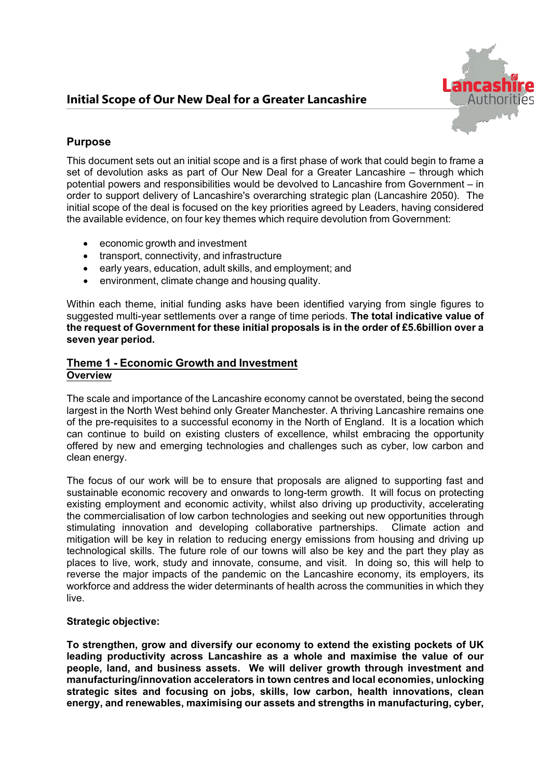

# **Purpose**

This document sets out an initial scope and is a first phase of work that could begin to frame a set of devolution asks as part of Our New Deal for a Greater Lancashire – through which potential powers and responsibilities would be devolved to Lancashire from Government – in order to support delivery of Lancashire's overarching strategic plan (Lancashire 2050). The initial scope of the deal is focused on the key priorities agreed by Leaders, having considered the available evidence, on four key themes which require devolution from Government:

- economic growth and investment
- transport, connectivity, and infrastructure
- early years, education, adult skills, and employment; and
- environment, climate change and housing quality.

Within each theme, initial funding asks have been identified varying from single figures to suggested multiyear settlements over a range of time periods. **The total indicative value of the request of Government for these initial proposals is in the order of £5.6billion over a seven year period.**

## **Theme 1 Economic Growth and Investment Overview**

The scale and importance of the Lancashire economy cannot be overstated, being the second largest in the North West behind only Greater Manchester. A thriving Lancashire remains one of the pre-requisites to a successful economy in the North of England. It is a location which can continue to build on existing clusters of excellence, whilst embracing the opportunity offered by new and emerging technologies and challenges such as cyber, low carbon and clean energy.

The focus of our work will be to ensure that proposals are aligned to supporting fast and sustainable economic recovery and onwards to long-term growth. It will focus on protecting existing employment and economic activity, whilst also driving up productivity, accelerating the commercialisation of low carbon technologies and seeking out new opportunities through stimulating innovation and developing collaborative partnerships. Climate action and mitigation will be key in relation to reducing energy emissions from housing and driving up technological skills. The future role of our towns will also be key and the part they play as places to live, work, study and innovate, consume, and visit. In doing so, this will help to reverse the major impacts of the pandemic on the Lancashire economy, its employers, its workforce and address the wider determinants of health across the communities in which they live.

### **Strategic objective:**

**To strengthen, grow and diversify our economy to extend the existing pockets of UK leading productivity across Lancashire as a whole and maximise the value of our people, land, and business assets. We will deliver growth through investment and manufacturing/innovation accelerators in town centres and local economies, unlocking strategic sites and focusing on jobs, skills, low carbon, health innovations, clean energy, and renewables, maximising our assets and strengths in manufacturing, cyber,**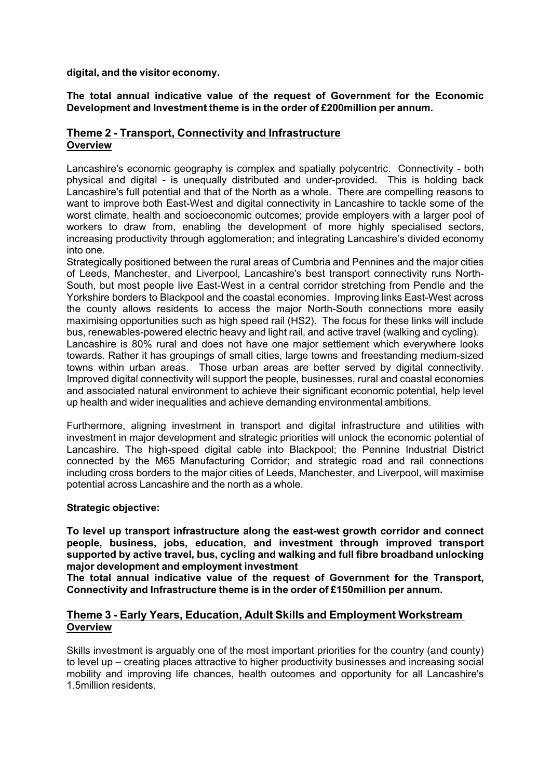**digital, and the visitor economy.**

**The total annual indicative value of the request of Government for the Economic Development and Investment theme is in the order of £200million per annum.**

## **Theme 2 Transport, Connectivity and Infrastructure Overview**

Lancashire's economic geography is complex and spatially polycentric. Connectivity - both physical and digital - is unequally distributed and under-provided. This is holding back Lancashire's full potential and that of the North as a whole. There are compelling reasons to want to improve both East-West and digital connectivity in Lancashire to tackle some of the worst climate, health and socioeconomic outcomes; provide employers with a larger pool of workers to draw from, enabling the development of more highly specialised sectors, increasing productivity through agglomeration; and integrating Lancashire's divided economy into one.

Strategically positioned between the rural areas of Cumbria and Pennines and the major cities of Leeds, Manchester, and Liverpool, Lancashire's best transport connectivity runs North-South, but most people live East-West in a central corridor stretching from Pendle and the Yorkshire borders to Blackpool and the coastal economies. Improving links East-West across the county allows residents to access the major North-South connections more easily maximising opportunities such as high speed rail (HS2). The focus for these links will include bus, renewables-powered electric heavy and light rail, and active travel (walking and cycling). Lancashire is 80% rural and does not have one major settlement which everywhere looks towards. Rather it has groupings of small cities, large towns and freestanding medium-sized towns within urban areas. Those urban areas are better served by digital connectivity. Improved digital connectivity will support the people, businesses, rural and coastal economies and associated natural environment to achieve their significant economic potential, help level up health and wider inequalities and achieve demanding environmental ambitions.

Furthermore, aligning investment in transport and digital infrastructure and utilities with investment in major development and strategic priorities will unlock the economic potential of Lancashire. The high-speed digital cable into Blackpool; the Pennine Industrial District connected by the M65 Manufacturing Corridor; and strategic road and rail connections including cross borders to the major cities of Leeds, Manchester, and Liverpool, will maximise potential across Lancashire and the north as a whole.

### **Strategic objective:**

**To level up transport infrastructure along the eastwest growth corridor and connect people, business, jobs, education, and investment through improved transport supported by active travel, bus, cycling and walking and full fibre broadband unlocking major development and employment investment**

**The total annual indicative value of the request of Government for the Transport, Connectivity and Infrastructure theme is in the order of £150million per annum.**

### **Theme 3 Early Years, Education, Adult Skills and Employment Workstream Overview**

Skills investment is arguably one of the most important priorities for the country (and county) to level up – creating places attractive to higher productivity businesses and increasing social mobility and improving life chances, health outcomes and opportunity for all Lancashire's 1.5million residents.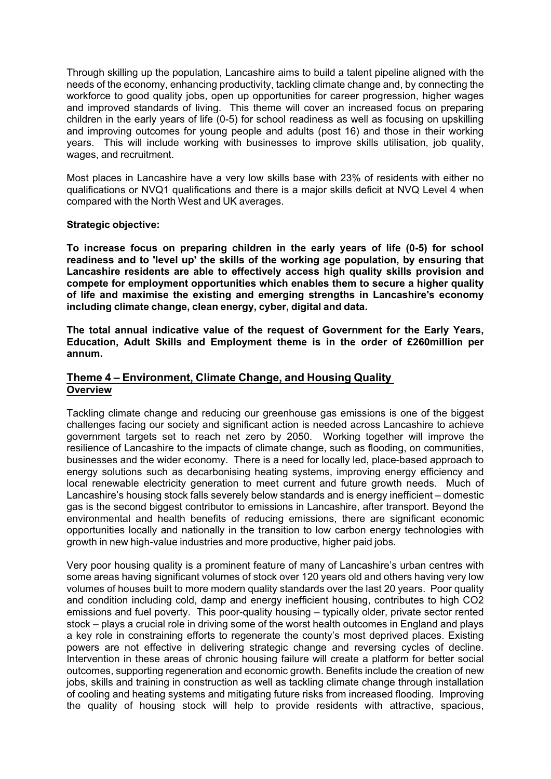Through skilling up the population, Lancashire aims to build a talent pipeline aligned with the needs of the economy, enhancing productivity, tackling climate change and, by connecting the workforce to good quality jobs, open up opportunities for career progression, higher wages and improved standards of living. This theme will cover an increased focus on preparing children in the early years of life (0-5) for school readiness as well as focusing on upskilling and improving outcomes for young people and adults (post 16) and those in their working years. This will include working with businesses to improve skills utilisation, job quality, wages, and recruitment.

Most places in Lancashire have a very low skills base with 23% of residents with either no qualifications or NVQ1 qualifications and there is a major skills deficit at NVQ Level 4 when compared with the North West and UK averages.

#### **Strategic objective:**

**To increase focus on preparing children in the early years of life (05) for school readiness and to 'level up' the skills of the working age population, by ensuring that Lancashire residents are able to effectively access high quality skills provision and compete for employment opportunities which enables them to secure a higher quality of life and maximise the existing and emerging strengths in Lancashire's economy including climate change, clean energy, cyber, digital and data.**

**The total annual indicative value of the request of Government for the Early Years, Education, Adult Skills and Employment theme is in the order of £260million per annum.**

### **Theme 4 – Environment, Climate Change, and Housing Quality Overview**

Tackling climate change and reducing our greenhouse gas emissions is one of the biggest challenges facing our society and significant action is needed across Lancashire to achieve government targets set to reach net zero by 2050. Working together will improve the resilience of Lancashire to the impacts of climate change, such as flooding, on communities, businesses and the wider economy. There is a need for locally led, place-based approach to energy solutions such as decarbonising heating systems, improving energy efficiency and local renewable electricity generation to meet current and future growth needs. Much of Lancashire's housing stock falls severely below standards and is energy inefficient – domestic gas is the second biggest contributor to emissions in Lancashire, after transport. Beyond the environmental and health benefits of reducing emissions, there are significant economic opportunities locally and nationally in the transition to low carbon energy technologies with growth in new high-value industries and more productive, higher paid jobs.

Very poor housing quality is a prominent feature of many of Lancashire's urban centres with some areas having significant volumes of stock over 120 years old and others having very low volumes of houses built to more modern quality standards over the last 20 years. Poor quality and condition including cold, damp and energy inefficient housing, contributes to high CO2 emissions and fuel poverty. This poor-quality housing – typically older, private sector rented stock – plays a crucial role in driving some of the worst health outcomes in England and plays a key role in constraining efforts to regenerate the county's most deprived places. Existing powers are not effective in delivering strategic change and reversing cycles of decline. Intervention in these areas of chronic housing failure will create a platform for better social outcomes, supporting regeneration and economic growth. Benefits include the creation of new jobs, skills and training in construction as well as tackling climate change through installation of cooling and heating systems and mitigating future risks from increased flooding. Improving the quality of housing stock will help to provide residents with attractive, spacious,